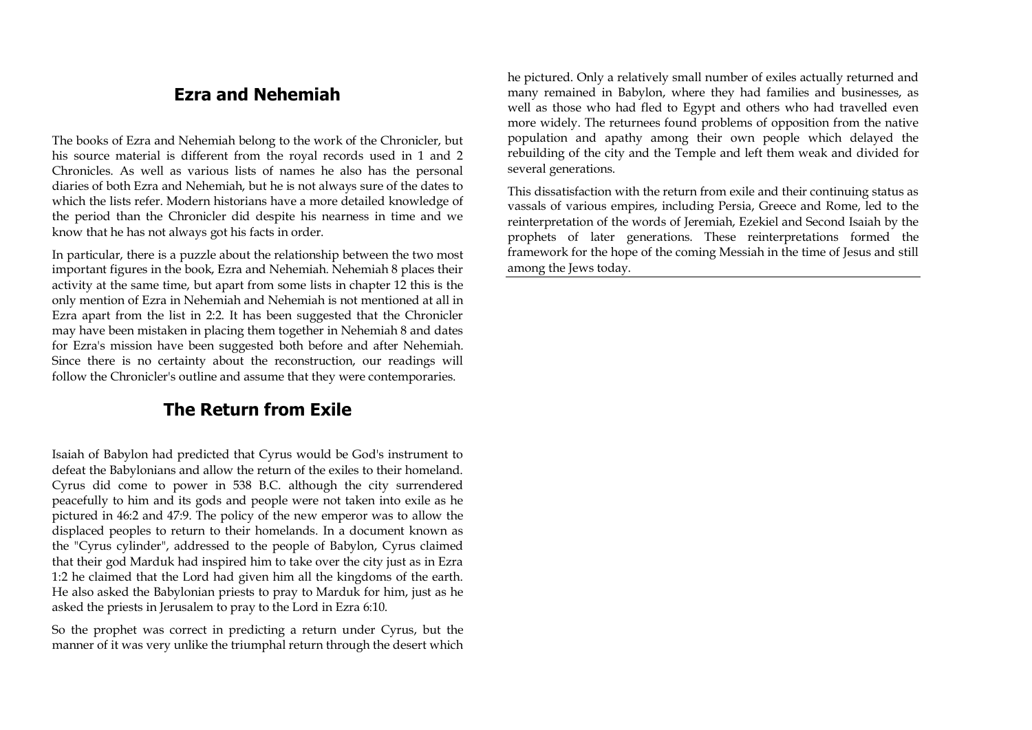# **Ezra and Nehemiah**

The books of Ezra and Nehemiah belong to the work of the Chronicler, but his source material is different from the royal records used in 1 and 2 Chronicles. As well as various lists of names he also has the personal diaries of both Ezra and Nehemiah, but he is not always sure of the dates to which the lists refer. Modern historians have a more detailed knowledge of the period than the Chronicler did despite his nearness in time and we know that he has not always got his facts in order.

In particular, there is a puzzle about the relationship between the two most important figures in the book, Ezra and Nehemiah. Nehemiah 8 places their activity at the same time, but apart from some lists in chapter 12 this is the only mention of Ezra in Nehemiah and Nehemiah is not mentioned at all in Ezra apart from the list in 2:2. It has been suggested that the Chronicler may have been mistaken in placing them together in Nehemiah 8 and dates for Ezra's mission have been suggested both before and after Nehemiah. Since there is no certainty about the reconstruction, our readings will follow the Chronicler's outline and assume that they were contemporaries.

# **The Return from Exile**

Isaiah of Babylon had predicted that Cyrus would be God's instrument to defeat the Babylonians and allow the return of the exiles to their homeland. Cyrus did come to power in 538 B.C. although the city surrendered peacefully to him and its gods and people were not taken into exile as he pictured in 46:2 and 47:9. The policy of the new emperor was to allow the displaced peoples to return to their homelands. In a document known as the "Cyrus cylinder", addressed to the people of Babylon, Cyrus claimed that their god Marduk had inspired him to take over the city just as in Ezra 1:2 he claimed that the Lord had given him all the kingdoms of the earth. He also asked the Babylonian priests to pray to Marduk for him, just as he asked the priests in Jerusalem to pray to the Lord in Ezra 6:10.

So the prophet was correct in predicting a return under Cyrus, but the manner of it was very unlike the triumphal return through the desert which he pictured. Only a relatively small number of exiles actually returned and many remained in Babylon, where they had families and businesses, as well as those who had fled to Egypt and others who had travelled even more widely. The returnees found problems of opposition from the native population and apathy among their own people which delayed the rebuilding of the city and the Temple and left them weak and divided for several generations.

This dissatisfaction with the return from exile and their continuing status as vassals of various empires, including Persia, Greece and Rome, led to the reinterpretation of the words of Jeremiah, Ezekiel and Second Isaiah by the prophets of later generations. These reinterpretations formed the framework for the hope of the coming Messiah in the time of Jesus and still among the Jews today.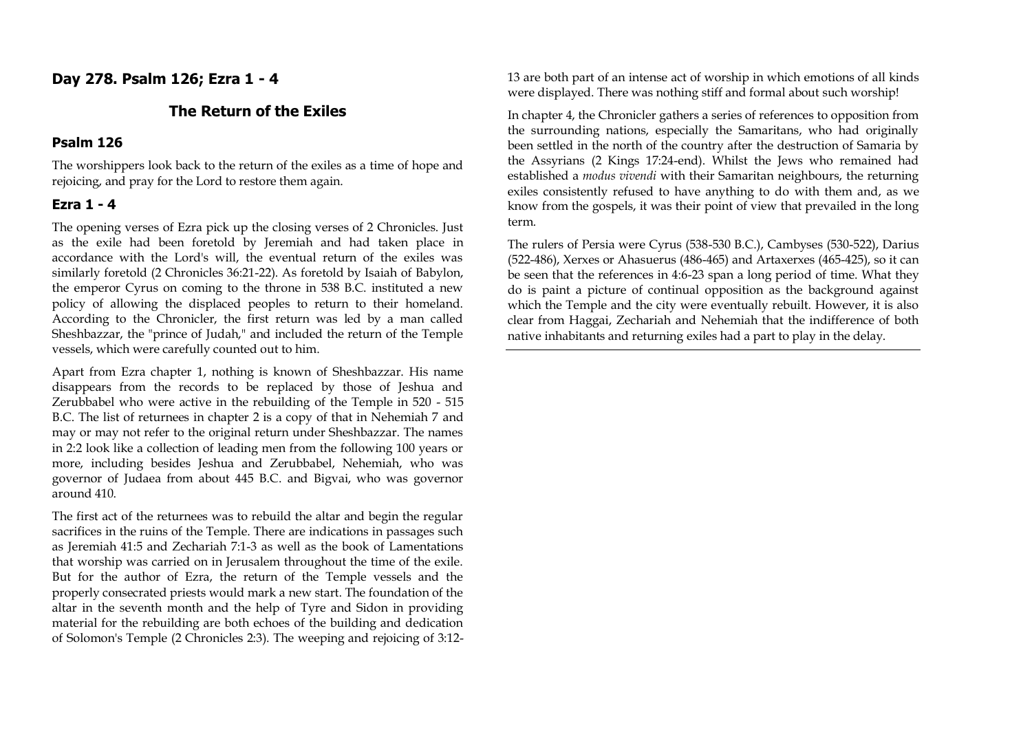## **Day 278. Psalm 126; Ezra 1 - 4**

#### **The Return of the Exiles**

#### **Psalm 126**

The worshippers look back to the return of the exiles as a time of hope and rejoicing, and pray for the Lord to restore them again.

#### **Ezra 1 - 4**

The opening verses of Ezra pick up the closing verses of 2 Chronicles. Just as the exile had been foretold by Jeremiah and had taken place in accordance with the Lord's will, the eventual return of the exiles was similarly foretold (2 Chronicles 36:21-22). As foretold by Isaiah of Babylon, the emperor Cyrus on coming to the throne in 538 B.C. instituted a new policy of allowing the displaced peoples to return to their homeland. According to the Chronicler, the first return was led by a man called Sheshbazzar, the "prince of Judah," and included the return of the Temple vessels, which were carefully counted out to him.

Apart from Ezra chapter 1, nothing is known of Sheshbazzar. His name disappears from the records to be replaced by those of Jeshua and Zerubbabel who were active in the rebuilding of the Temple in 520 - 515 B.C. The list of returnees in chapter 2 is a copy of that in Nehemiah 7 and may or may not refer to the original return under Sheshbazzar. The names in 2:2 look like a collection of leading men from the following 100 years or more, including besides Jeshua and Zerubbabel, Nehemiah, who was governor of Judaea from about 445 B.C. and Bigvai, who was governor around 410.

The first act of the returnees was to rebuild the altar and begin the regular sacrifices in the ruins of the Temple. There are indications in passages such as Jeremiah 41:5 and Zechariah 7:1-3 as well as the book of Lamentations that worship was carried on in Jerusalem throughout the time of the exile. But for the author of Ezra, the return of the Temple vessels and the properly consecrated priests would mark a new start. The foundation of the altar in the seventh month and the help of Tyre and Sidon in providing material for the rebuilding are both echoes of the building and dedication of Solomon's Temple (2 Chronicles 2:3). The weeping and rejoicing of 3:1213 are both part of an intense act of worship in which emotions of all kinds were displayed. There was nothing stiff and formal about such worship!

In chapter 4, the Chronicler gathers a series of references to opposition from the surrounding nations, especially the Samaritans, who had originally been settled in the north of the country after the destruction of Samaria by the Assyrians (2 Kings 17:24-end). Whilst the Jews who remained had established a *modus vivendi* with their Samaritan neighbours, the returning exiles consistently refused to have anything to do with them and, as we know from the gospels, it was their point of view that prevailed in the long term.

The rulers of Persia were Cyrus (538-530 B.C.), Cambyses (530-522), Darius (522-486), Xerxes or Ahasuerus (486-465) and Artaxerxes (465-425), so it can be seen that the references in 4:6-23 span a long period of time. What they do is paint a picture of continual opposition as the background against which the Temple and the city were eventually rebuilt. However, it is also clear from Haggai, Zechariah and Nehemiah that the indifference of both native inhabitants and returning exiles had a part to play in the delay.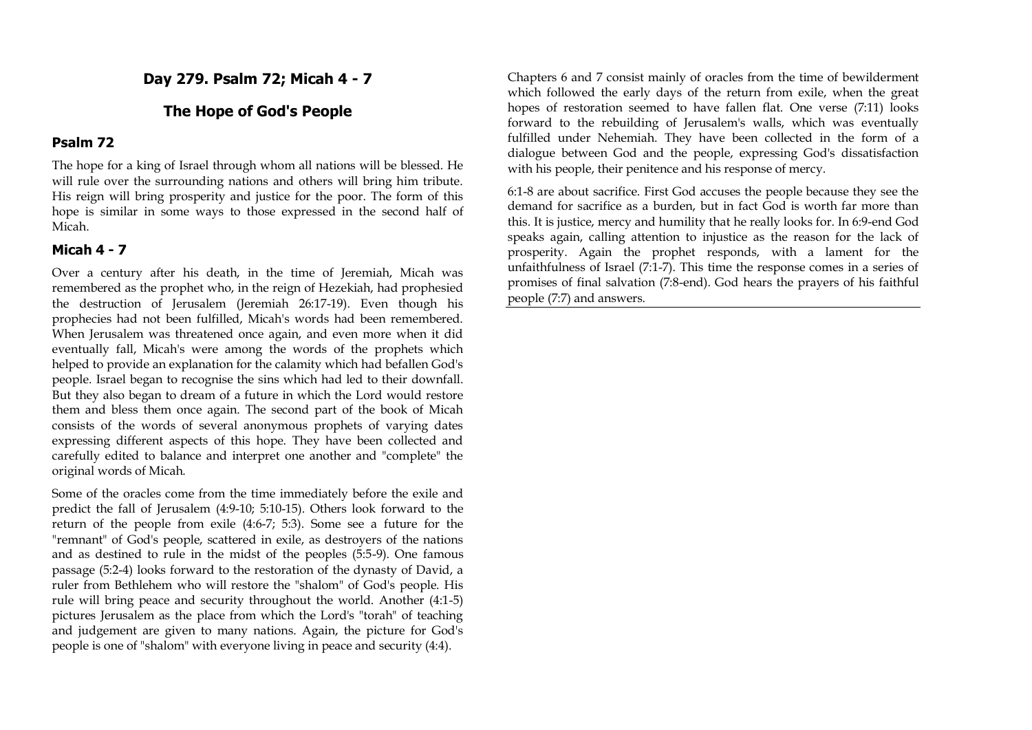**Day 279. Psalm 72; Micah 4 - 7**

#### **The Hope of God's People**

#### **Psalm 72**

The hope for a king of Israel through whom all nations will be blessed. He will rule over the surrounding nations and others will bring him tribute. His reign will bring prosperity and justice for the poor. The form of this hope is similar in some ways to those expressed in the second half of Micah.

#### **Micah 4 - 7**

Over a century after his death, in the time of Jeremiah, Micah was remembered as the prophet who, in the reign of Hezekiah, had prophesied the destruction of Jerusalem (Jeremiah 26:17-19). Even though his prophecies had not been fulfilled, Micah's words had been remembered. When Jerusalem was threatened once again, and even more when it did eventually fall, Micah's were among the words of the prophets which helped to provide an explanation for the calamity which had befallen God's people. Israel began to recognise the sins which had led to their downfall. But they also began to dream of a future in which the Lord would restore them and bless them once again. The second part of the book of Micah consists of the words of several anonymous prophets of varying dates expressing different aspects of this hope. They have been collected and carefully edited to balance and interpret one another and "complete" the original words of Micah.

Some of the oracles come from the time immediately before the exile and predict the fall of Jerusalem (4:9-10; 5:10-15). Others look forward to the return of the people from exile (4:6-7; 5:3). Some see a future for the "remnant" of God's people, scattered in exile, as destroyers of the nations and as destined to rule in the midst of the peoples (5:5-9). One famous passage (5:2-4) looks forward to the restoration of the dynasty of David, a ruler from Bethlehem who will restore the "shalom" of God's people. His rule will bring peace and security throughout the world. Another (4:1-5) pictures Jerusalem as the place from which the Lord's "torah" of teaching and judgement are given to many nations. Again, the picture for God's people is one of "shalom" with everyone living in peace and security (4:4).

Chapters 6 and 7 consist mainly of oracles from the time of bewilderment which followed the early days of the return from exile, when the great hopes of restoration seemed to have fallen flat. One verse (7:11) looks forward to the rebuilding of Jerusalem's walls, which was eventually fulfilled under Nehemiah. They have been collected in the form of a dialogue between God and the people, expressing God's dissatisfaction with his people, their penitence and his response of mercy.

6:1-8 are about sacrifice. First God accuses the people because they see the demand for sacrifice as a burden, but in fact God is worth far more than this. It is justice, mercy and humility that he really looks for. In 6:9-end God speaks again, calling attention to injustice as the reason for the lack of prosperity. Again the prophet responds, with a lament for the unfaithfulness of Israel (7:1-7). This time the response comes in a series of promises of final salvation (7:8-end). God hears the prayers of his faithful people (7:7) and answers.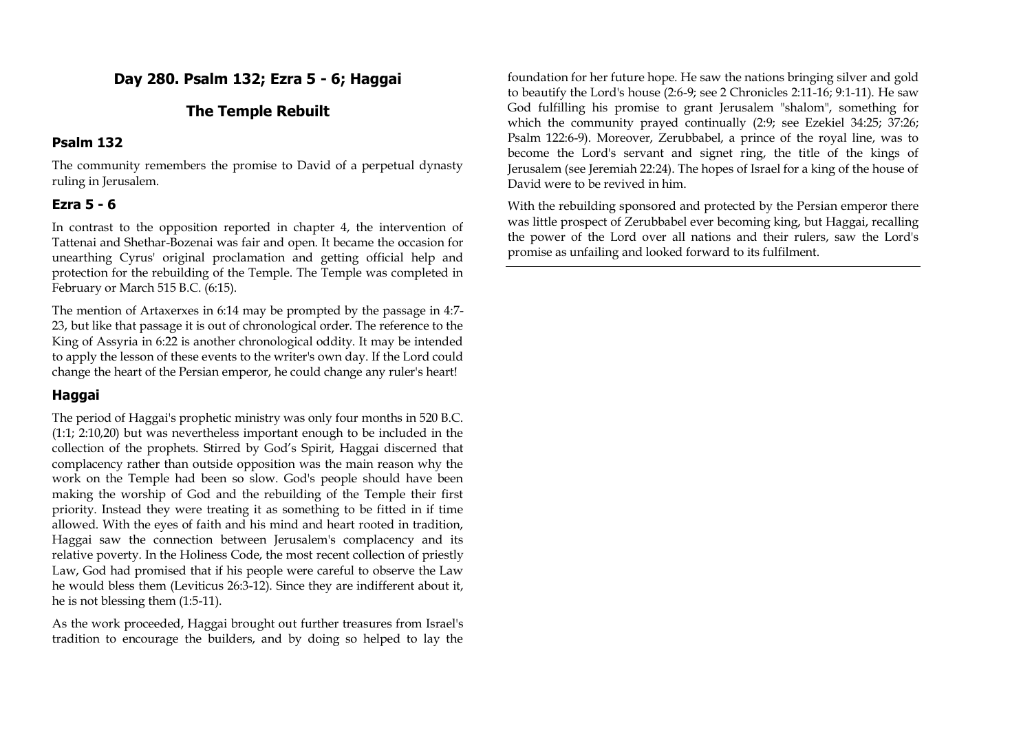# **Day 280. Psalm 132; Ezra 5 - 6; Haggai**

## **The Temple Rebuilt**

### **Psalm 132**

The community remembers the promise to David of a perpetual dynasty ruling in Jerusalem.

## **Ezra 5 - 6**

In contrast to the opposition reported in chapter 4, the intervention of Tattenai and Shethar-Bozenai was fair and open. It became the occasion for unearthing Cyrus' original proclamation and getting official help and protection for the rebuilding of the Temple. The Temple was completed in February or March 515 B.C. (6:15).

The mention of Artaxerxes in 6:14 may be prompted by the passage in 4:7- 23, but like that passage it is out of chronological order. The reference to the King of Assyria in 6:22 is another chronological oddity. It may be intended to apply the lesson of these events to the writer's own day. If the Lord could change the heart of the Persian emperor, he could change any ruler's heart!

# **Haggai**

The period of Haggai's prophetic ministry was only four months in 520 B.C. (1:1; 2:10,20) but was nevertheless important enough to be included in the collection of the prophets. Stirred by God's Spirit, Haggai discerned that complacency rather than outside opposition was the main reason why the work on the Temple had been so slow. God's people should have been making the worship of God and the rebuilding of the Temple their first priority. Instead they were treating it as something to be fitted in if time allowed. With the eyes of faith and his mind and heart rooted in tradition, Haggai saw the connection between Jerusalem's complacency and its relative poverty. In the Holiness Code, the most recent collection of priestly Law, God had promised that if his people were careful to observe the Law he would bless them (Leviticus 26:3-12). Since they are indifferent about it, he is not blessing them (1:5-11).

As the work proceeded, Haggai brought out further treasures from Israel's tradition to encourage the builders, and by doing so helped to lay the

foundation for her future hope. He saw the nations bringing silver and gold to beautify the Lord's house (2:6-9; see 2 Chronicles 2:11-16; 9:1-11). He saw God fulfilling his promise to grant Jerusalem "shalom", something for which the community prayed continually (2:9; see Ezekiel 34:25; 37:26; Psalm 122:6-9). Moreover, Zerubbabel, a prince of the royal line, was to become the Lord's servant and signet ring, the title of the kings of Jerusalem (see Jeremiah 22:24). The hopes of Israel for a king of the house of David were to be revived in him.

With the rebuilding sponsored and protected by the Persian emperor there was little prospect of Zerubbabel ever becoming king, but Haggai, recalling the power of the Lord over all nations and their rulers, saw the Lord's promise as unfailing and looked forward to its fulfilment.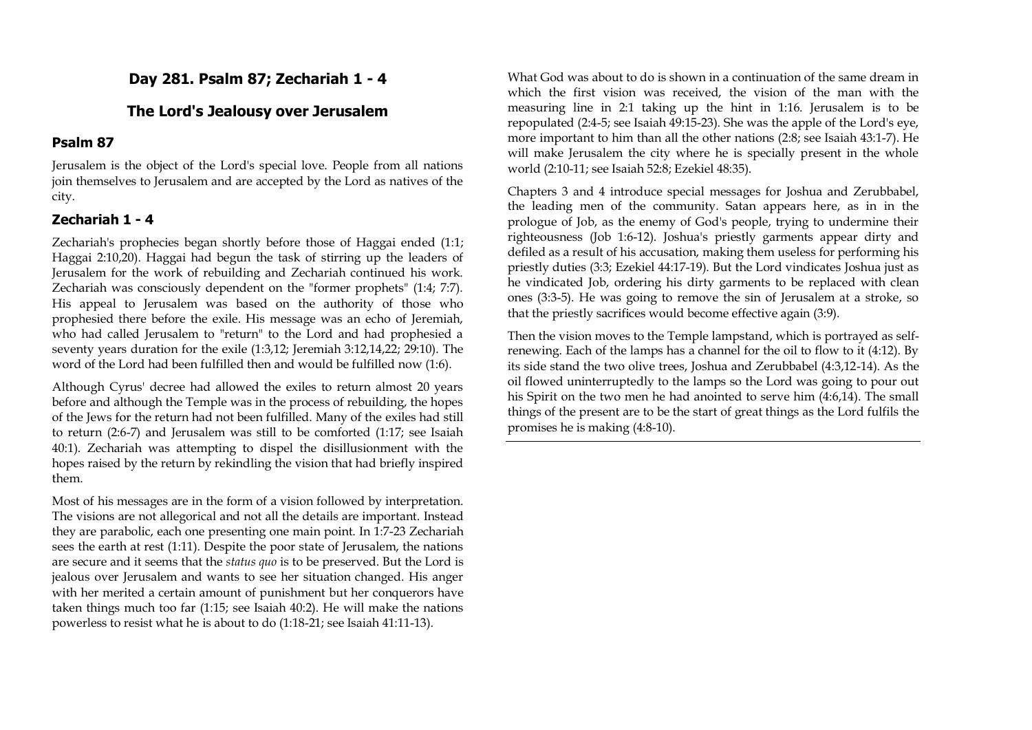## **Day 281. Psalm 87; Zechariah 1 - 4**

### **The Lord's Jealousy over Jerusalem**

#### **Psalm 87**

Jerusalem is the object of the Lord's special love. People from all nations join themselves to Jerusalem and are accepted by the Lord as natives of the city.

### **Zechariah 1 - 4**

Zechariah's prophecies began shortly before those of Haggai ended (1:1; Haggai 2:10,20). Haggai had begun the task of stirring up the leaders of Jerusalem for the work of rebuilding and Zechariah continued his work. Zechariah was consciously dependent on the "former prophets" (1:4; 7:7). His appeal to Jerusalem was based on the authority of those who prophesied there before the exile. His message was an echo of Jeremiah, who had called Jerusalem to "return" to the Lord and had prophesied a seventy years duration for the exile (1:3,12; Jeremiah 3:12,14,22; 29:10). The word of the Lord had been fulfilled then and would be fulfilled now (1:6).

Although Cyrus' decree had allowed the exiles to return almost 20 years before and although the Temple was in the process of rebuilding, the hopes of the Jews for the return had not been fulfilled. Many of the exiles had still to return (2:6-7) and Jerusalem was still to be comforted (1:17; see Isaiah 40:1). Zechariah was attempting to dispel the disillusionment with the hopes raised by the return by rekindling the vision that had briefly inspired them.

Most of his messages are in the form of a vision followed by interpretation. The visions are not allegorical and not all the details are important. Instead they are parabolic, each one presenting one main point. In 1:7-23 Zechariah sees the earth at rest (1:11). Despite the poor state of Jerusalem, the nations are secure and it seems that the *status quo* is to be preserved. But the Lord is jealous over Jerusalem and wants to see her situation changed. His anger with her merited a certain amount of punishment but her conquerors have taken things much too far (1:15; see Isaiah 40:2). He will make the nations powerless to resist what he is about to do (1:18-21; see Isaiah 41:11-13).

What God was about to do is shown in a continuation of the same dream in which the first vision was received, the vision of the man with the measuring line in 2:1 taking up the hint in 1:16. Jerusalem is to be repopulated (2:4-5; see Isaiah 49:15-23). She was the apple of the Lord's eye, more important to him than all the other nations (2:8; see Isaiah 43:1-7). He will make Jerusalem the city where he is specially present in the whole world (2:10-11; see Isaiah 52:8; Ezekiel 48:35).

Chapters 3 and 4 introduce special messages for Joshua and Zerubbabel, the leading men of the community. Satan appears here, as in in the prologue of Job, as the enemy of God's people, trying to undermine their righteousness (Job 1:6-12). Joshua's priestly garments appear dirty and defiled as a result of his accusation, making them useless for performing his priestly duties (3:3; Ezekiel 44:17-19). But the Lord vindicates Joshua just as he vindicated Job, ordering his dirty garments to be replaced with clean ones (3:3-5). He was going to remove the sin of Jerusalem at a stroke, so that the priestly sacrifices would become effective again (3:9).

Then the vision moves to the Temple lampstand, which is portrayed as selfrenewing. Each of the lamps has a channel for the oil to flow to it (4:12). By its side stand the two olive trees, Joshua and Zerubbabel (4:3,12-14). As the oil flowed uninterruptedly to the lamps so the Lord was going to pour out his Spirit on the two men he had anointed to serve him (4:6,14). The small things of the present are to be the start of great things as the Lord fulfils the promises he is making (4:8-10).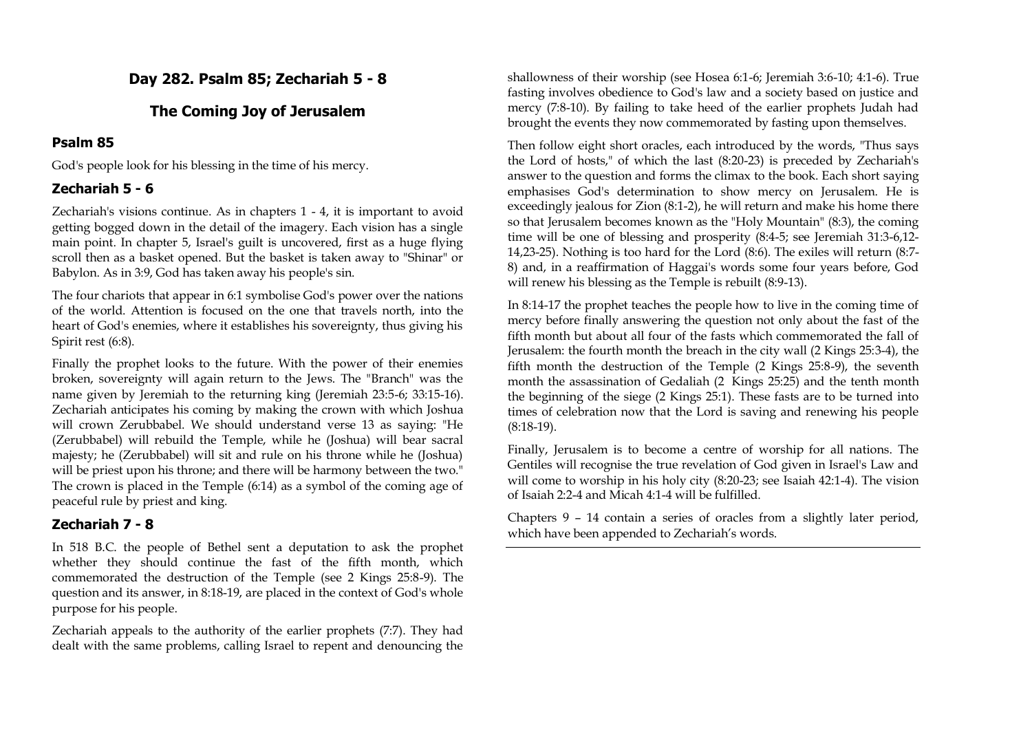# **Day 282. Psalm 85; Zechariah 5 - 8**

# **The Coming Joy of Jerusalem**

## **Psalm 85**

God's people look for his blessing in the time of his mercy.

# **Zechariah 5 - 6**

Zechariah's visions continue. As in chapters 1 - 4, it is important to avoid getting bogged down in the detail of the imagery. Each vision has a single main point. In chapter 5, Israel's guilt is uncovered, first as a huge flying scroll then as a basket opened. But the basket is taken away to "Shinar" or Babylon. As in 3:9, God has taken away his people's sin.

The four chariots that appear in 6:1 symbolise God's power over the nations of the world. Attention is focused on the one that travels north, into the heart of God's enemies, where it establishes his sovereignty, thus giving his Spirit rest (6:8).

Finally the prophet looks to the future. With the power of their enemies broken, sovereignty will again return to the Jews. The "Branch" was the name given by Jeremiah to the returning king (Jeremiah 23:5-6; 33:15-16). Zechariah anticipates his coming by making the crown with which Joshua will crown Zerubbabel. We should understand verse 13 as saying: "He (Zerubbabel) will rebuild the Temple, while he (Joshua) will bear sacral majesty; he (Zerubbabel) will sit and rule on his throne while he (Joshua) will be priest upon his throne; and there will be harmony between the two." The crown is placed in the Temple (6:14) as a symbol of the coming age of peaceful rule by priest and king.

# **Zechariah 7 - 8**

In 518 B.C. the people of Bethel sent a deputation to ask the prophet whether they should continue the fast of the fifth month, which commemorated the destruction of the Temple (see 2 Kings 25:8-9). The question and its answer, in 8:18-19, are placed in the context of God's whole purpose for his people.

Zechariah appeals to the authority of the earlier prophets (7:7). They had dealt with the same problems, calling Israel to repent and denouncing the shallowness of their worship (see Hosea 6:1-6; Jeremiah 3:6-10; 4:1-6). True fasting involves obedience to God's law and a society based on justice and mercy (7:8-10). By failing to take heed of the earlier prophets Judah had brought the events they now commemorated by fasting upon themselves.

Then follow eight short oracles, each introduced by the words, "Thus says the Lord of hosts," of which the last (8:20-23) is preceded by Zechariah's answer to the question and forms the climax to the book. Each short saying emphasises God's determination to show mercy on Jerusalem. He is exceedingly jealous for Zion (8:1-2), he will return and make his home there so that Jerusalem becomes known as the "Holy Mountain" (8:3), the coming time will be one of blessing and prosperity (8:4-5; see Jeremiah 31:3-6,12- 14,23-25). Nothing is too hard for the Lord (8:6). The exiles will return (8:7- 8) and, in a reaffirmation of Haggai's words some four years before, God will renew his blessing as the Temple is rebuilt (8:9-13).

In 8:14-17 the prophet teaches the people how to live in the coming time of mercy before finally answering the question not only about the fast of the fifth month but about all four of the fasts which commemorated the fall of Jerusalem: the fourth month the breach in the city wall (2 Kings 25:3-4), the fifth month the destruction of the Temple (2 Kings 25:8-9), the seventh month the assassination of Gedaliah (2 Kings 25:25) and the tenth month the beginning of the siege (2 Kings 25:1). These fasts are to be turned into times of celebration now that the Lord is saving and renewing his people (8:18-19).

Finally, Jerusalem is to become a centre of worship for all nations. The Gentiles will recognise the true revelation of God given in Israel's Law and will come to worship in his holy city (8:20-23; see Isaiah 42:1-4). The vision of Isaiah 2:2-4 and Micah 4:1-4 will be fulfilled.

Chapters 9 – 14 contain a series of oracles from a slightly later period, which have been appended to Zechariah's words.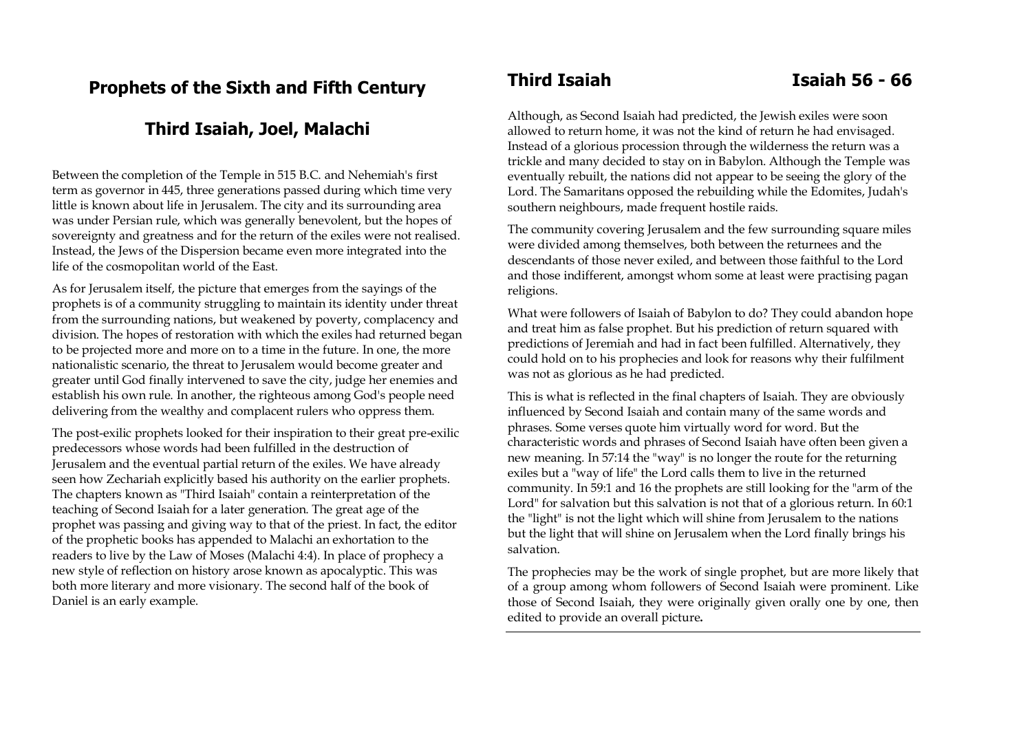# **Prophets of the Sixth and Fifth Century**

# **Third Isaiah, Joel, Malachi**

Between the completion of the Temple in 515 B.C. and Nehemiah's first term as governor in 445, three generations passed during which time very little is known about life in Jerusalem. The city and its surrounding area was under Persian rule, which was generally benevolent, but the hopes of sovereignty and greatness and for the return of the exiles were not realised. Instead, the Jews of the Dispersion became even more integrated into the life of the cosmopolitan world of the East.

As for Jerusalem itself, the picture that emerges from the sayings of the prophets is of a community struggling to maintain its identity under threat from the surrounding nations, but weakened by poverty, complacency and division. The hopes of restoration with which the exiles had returned began to be projected more and more on to a time in the future. In one, the more nationalistic scenario, the threat to Jerusalem would become greater and greater until God finally intervened to save the city, judge her enemies and establish his own rule. In another, the righteous among God's people need delivering from the wealthy and complacent rulers who oppress them.

The post-exilic prophets looked for their inspiration to their great pre-exilic predecessors whose words had been fulfilled in the destruction of Jerusalem and the eventual partial return of the exiles. We have already seen how Zechariah explicitly based his authority on the earlier prophets. The chapters known as "Third Isaiah" contain a reinterpretation of the teaching of Second Isaiah for a later generation. The great age of the prophet was passing and giving way to that of the priest. In fact, the editor of the prophetic books has appended to Malachi an exhortation to the readers to live by the Law of Moses (Malachi 4:4). In place of prophecy a new style of reflection on history arose known as apocalyptic. This was both more literary and more visionary. The second half of the book of Daniel is an early example.

Although, as Second Isaiah had predicted, the Jewish exiles were soon allowed to return home, it was not the kind of return he had envisaged. Instead of a glorious procession through the wilderness the return was a trickle and many decided to stay on in Babylon. Although the Temple was eventually rebuilt, the nations did not appear to be seeing the glory of the Lord. The Samaritans opposed the rebuilding while the Edomites, Judah's southern neighbours, made frequent hostile raids.

The community covering Jerusalem and the few surrounding square miles were divided among themselves, both between the returnees and the descendants of those never exiled, and between those faithful to the Lord and those indifferent, amongst whom some at least were practising pagan religions.

What were followers of Isaiah of Babylon to do? They could abandon hope and treat him as false prophet. But his prediction of return squared with predictions of Jeremiah and had in fact been fulfilled. Alternatively, they could hold on to his prophecies and look for reasons why their fulfilment was not as glorious as he had predicted.

This is what is reflected in the final chapters of Isaiah. They are obviously influenced by Second Isaiah and contain many of the same words and phrases. Some verses quote him virtually word for word. But the characteristic words and phrases of Second Isaiah have often been given a new meaning. In 57:14 the "way" is no longer the route for the returning exiles but a "way of life" the Lord calls them to live in the returned community. In 59:1 and 16 the prophets are still looking for the "arm of the Lord" for salvation but this salvation is not that of a glorious return. In 60:1 the "light" is not the light which will shine from Jerusalem to the nations but the light that will shine on Jerusalem when the Lord finally brings his salvation.

The prophecies may be the work of single prophet, but are more likely that of a group among whom followers of Second Isaiah were prominent. Like those of Second Isaiah, they were originally given orally one by one, then edited to provide an overall picture**.**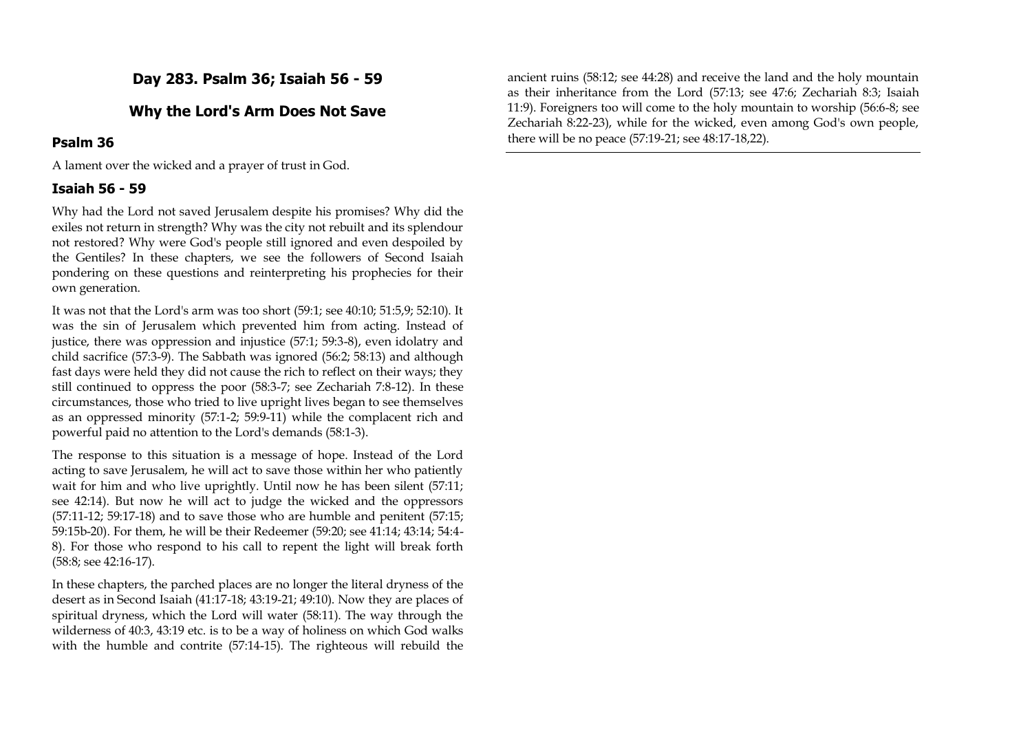**Day 283. Psalm 36; Isaiah 56 - 59**

## **Why the Lord's Arm Does Not Save**

### **Psalm 36**

A lament over the wicked and a prayer of trust in God.

### **Isaiah 56 - 59**

Why had the Lord not saved Jerusalem despite his promises? Why did the exiles not return in strength? Why was the city not rebuilt and its splendour not restored? Why were God's people still ignored and even despoiled by the Gentiles? In these chapters, we see the followers of Second Isaiah pondering on these questions and reinterpreting his prophecies for their own generation.

It was not that the Lord's arm was too short (59:1; see 40:10; 51:5,9; 52:10). It was the sin of Jerusalem which prevented him from acting. Instead of justice, there was oppression and injustice (57:1; 59:3-8), even idolatry and child sacrifice (57:3-9). The Sabbath was ignored (56:2; 58:13) and although fast days were held they did not cause the rich to reflect on their ways; they still continued to oppress the poor (58:3-7; see Zechariah 7:8-12). In these circumstances, those who tried to live upright lives began to see themselves as an oppressed minority (57:1-2; 59:9-11) while the complacent rich and powerful paid no attention to the Lord's demands (58:1-3).

The response to this situation is a message of hope. Instead of the Lord acting to save Jerusalem, he will act to save those within her who patiently wait for him and who live uprightly. Until now he has been silent (57:11; see 42:14). But now he will act to judge the wicked and the oppressors (57:11-12; 59:17-18) and to save those who are humble and penitent (57:15; 59:15b-20). For them, he will be their Redeemer (59:20; see 41:14; 43:14; 54:4- 8). For those who respond to his call to repent the light will break forth (58:8; see 42:16-17).

In these chapters, the parched places are no longer the literal dryness of the desert as in Second Isaiah (41:17-18; 43:19-21; 49:10). Now they are places of spiritual dryness, which the Lord will water (58:11). The way through the wilderness of 40:3, 43:19 etc. is to be a way of holiness on which God walks with the humble and contrite (57:14-15). The righteous will rebuild the ancient ruins (58:12; see 44:28) and receive the land and the holy mountain as their inheritance from the Lord (57:13; see 47:6; Zechariah 8:3; Isaiah 11:9). Foreigners too will come to the holy mountain to worship (56:6-8; see Zechariah 8:22-23), while for the wicked, even among God's own people, there will be no peace (57:19-21; see 48:17-18,22).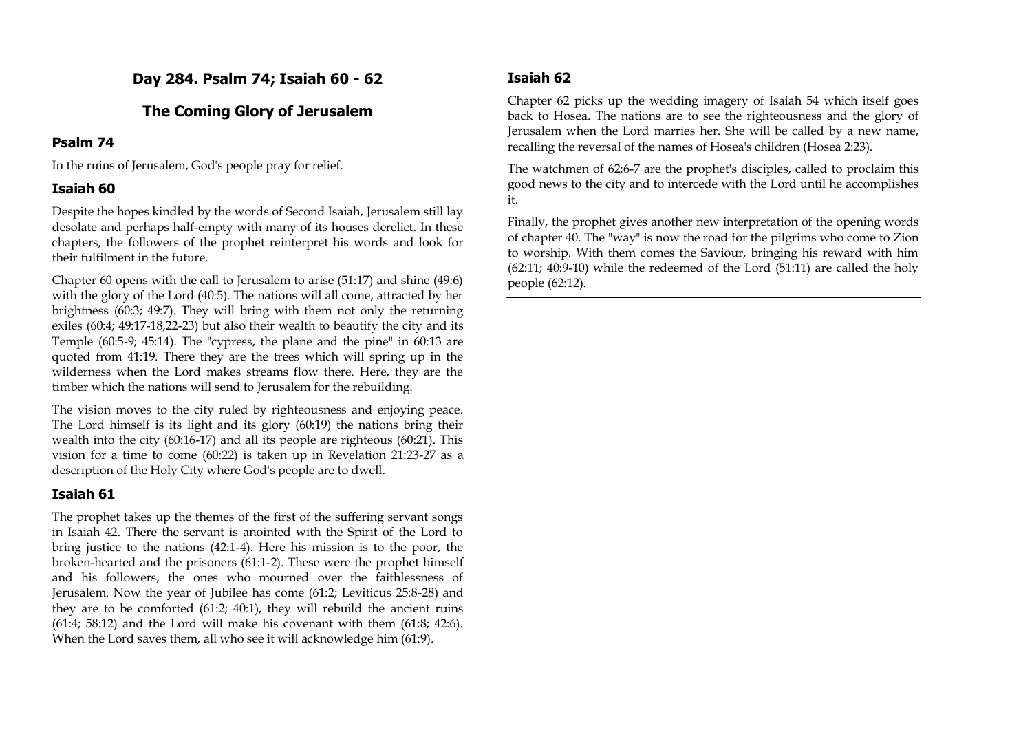# **Day 284. Psalm 74; Isaiah 60 - 62**

## **The Coming Glory of Jerusalem**

#### **Psalm 74**

In the ruins of Jerusalem, God's people pray for relief.

### **Isaiah 60**

Despite the hopes kindled by the words of Second Isaiah, Jerusalem still lay desolate and perhaps half-empty with many of its houses derelict. In these chapters, the followers of the prophet reinterpret his words and look for their fulfilment in the future.

Chapter 60 opens with the call to Jerusalem to arise  $(51:17)$  and shine  $(49:6)$ with the glory of the Lord (40:5). The nations will all come, attracted by her brightness (60:3; 49:7). They will bring with them not only the returning exiles (60:4; 49:17-18,22-23) but also their wealth to beautify the city and its Temple (60:5-9; 45:14). The "cypress, the plane and the pine" in 60:13 are quoted from 41:19. There they are the trees which will spring up in the wilderness when the Lord makes streams flow there. Here, they are the timber which the nations will send to Jerusalem for the rebuilding.

The vision moves to the city ruled by righteousness and enjoying peace. The Lord himself is its light and its glory (60:19) the nations bring their wealth into the city (60:16-17) and all its people are righteous (60:21). This vision for a time to come (60:22) is taken up in Revelation 21:23-27 as a description of the Holy City where God's people are to dwell.

## **Isaiah 61**

The prophet takes up the themes of the first of the suffering servant songs in Isaiah 42. There the servant is anointed with the Spirit of the Lord to bring justice to the nations (42:1-4). Here his mission is to the poor, the broken-hearted and the prisoners (61:1-2). These were the prophet himself and his followers, the ones who mourned over the faithlessness of Jerusalem. Now the year of Jubilee has come (61:2; Leviticus 25:8-28) and they are to be comforted (61:2; 40:1), they will rebuild the ancient ruins  $(61:4; 58:12)$  and the Lord will make his covenant with them  $(61:8; 42:6)$ . When the Lord saves them, all who see it will acknowledge him (61:9).

## **Isaiah 62**

Chapter 62 picks up the wedding imagery of Isaiah 54 which itself goes back to Hosea. The nations are to see the righteousness and the glory of Jerusalem when the Lord marries her. She will be called by a new name, recalling the reversal of the names of Hosea's children (Hosea 2:23).

The watchmen of 62:6-7 are the prophet's disciples, called to proclaim this good news to the city and to intercede with the Lord until he accomplishes it.

Finally, the prophet gives another new interpretation of the opening words of chapter 40. The "way" is now the road for the pilgrims who come to Zion to worship. With them comes the Saviour, bringing his reward with him  $(62:11; 40:9-10)$  while the redeemed of the Lord  $(51:11)$  are called the holy people (62:12).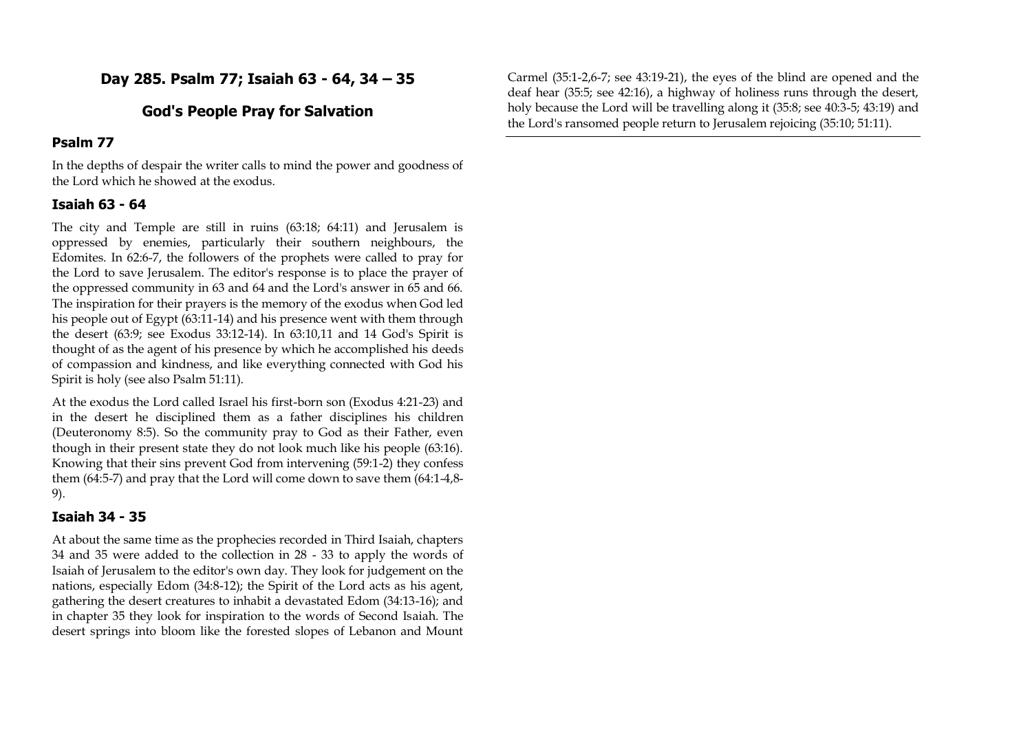## **Day 285. Psalm 77; Isaiah 63 - 64, 34 – 35**

## **God's People Pray for Salvation**

#### **Psalm 77**

In the depths of despair the writer calls to mind the power and goodness of the Lord which he showed at the exodus.

#### **Isaiah 63 - 64**

The city and Temple are still in ruins (63:18; 64:11) and Jerusalem is oppressed by enemies, particularly their southern neighbours, the Edomites. In 62:6-7, the followers of the prophets were called to pray for the Lord to save Jerusalem. The editor's response is to place the prayer of the oppressed community in 63 and 64 and the Lord's answer in 65 and 66. The inspiration for their prayers is the memory of the exodus when God led his people out of Egypt (63:11-14) and his presence went with them through the desert (63:9; see Exodus 33:12-14). In 63:10,11 and 14 God's Spirit is thought of as the agent of his presence by which he accomplished his deeds of compassion and kindness, and like everything connected with God his Spirit is holy (see also Psalm 51:11).

At the exodus the Lord called Israel his first-born son (Exodus 4:21-23) and in the desert he disciplined them as a father disciplines his children (Deuteronomy 8:5). So the community pray to God as their Father, even though in their present state they do not look much like his people (63:16). Knowing that their sins prevent God from intervening (59:1-2) they confess them (64:5-7) and pray that the Lord will come down to save them (64:1-4,8- 9).

#### **Isaiah 34 - 35**

At about the same time as the prophecies recorded in Third Isaiah, chapters 34 and 35 were added to the collection in 28 - 33 to apply the words of Isaiah of Jerusalem to the editor's own day. They look for judgement on the nations, especially Edom (34:8-12); the Spirit of the Lord acts as his agent, gathering the desert creatures to inhabit a devastated Edom (34:13-16); and in chapter 35 they look for inspiration to the words of Second Isaiah. The desert springs into bloom like the forested slopes of Lebanon and Mount

Carmel (35:1-2,6-7; see 43:19-21), the eyes of the blind are opened and the deaf hear (35:5; see 42:16), a highway of holiness runs through the desert, holy because the Lord will be travelling along it (35:8; see 40:3-5; 43:19) and the Lord's ransomed people return to Jerusalem rejoicing (35:10; 51:11).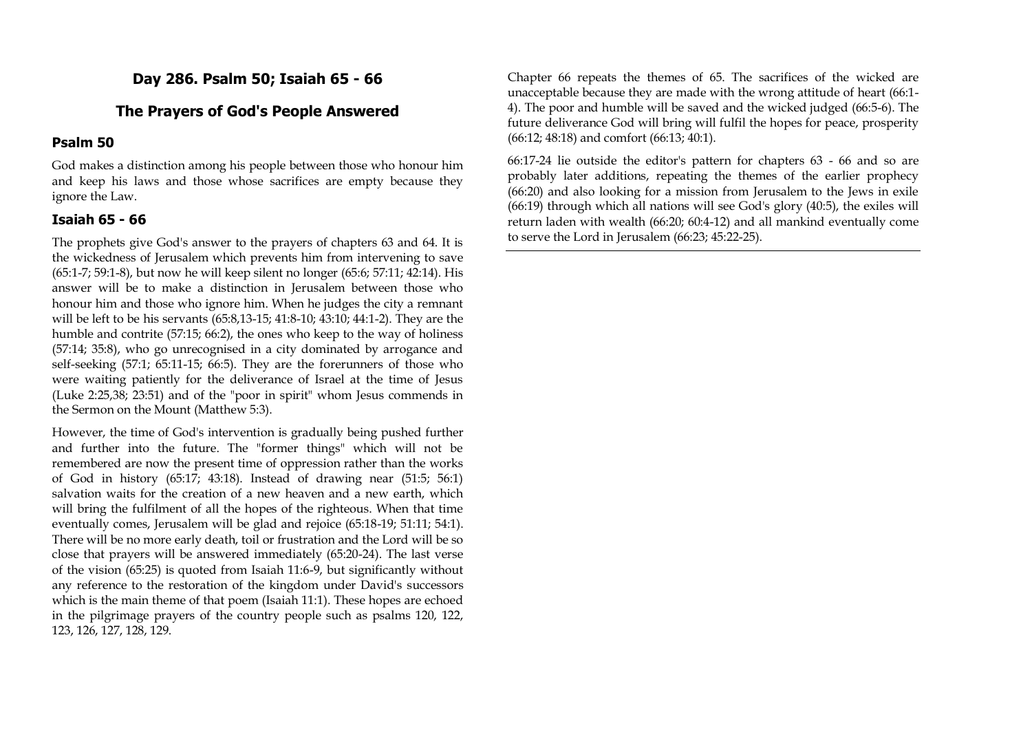## **Day 286. Psalm 50; Isaiah 65 - 66**

#### **The Prayers of God's People Answered**

#### **Psalm 50**

God makes a distinction among his people between those who honour him and keep his laws and those whose sacrifices are empty because they ignore the Law.

#### **Isaiah 65 - 66**

The prophets give God's answer to the prayers of chapters 63 and 64. It is the wickedness of Jerusalem which prevents him from intervening to save (65:1-7; 59:1-8), but now he will keep silent no longer (65:6; 57:11; 42:14). His answer will be to make a distinction in Jerusalem between those who honour him and those who ignore him. When he judges the city a remnant will be left to be his servants (65:8,13-15; 41:8-10; 43:10; 44:1-2). They are the humble and contrite (57:15; 66:2), the ones who keep to the way of holiness (57:14; 35:8), who go unrecognised in a city dominated by arrogance and self-seeking (57:1; 65:11-15; 66:5). They are the forerunners of those who were waiting patiently for the deliverance of Israel at the time of Jesus (Luke 2:25,38; 23:51) and of the "poor in spirit" whom Jesus commends in the Sermon on the Mount (Matthew 5:3).

However, the time of God's intervention is gradually being pushed further and further into the future. The "former things" which will not be remembered are now the present time of oppression rather than the works of God in history (65:17; 43:18). Instead of drawing near (51:5; 56:1) salvation waits for the creation of a new heaven and a new earth, which will bring the fulfilment of all the hopes of the righteous. When that time eventually comes, Jerusalem will be glad and rejoice (65:18-19; 51:11; 54:1). There will be no more early death, toil or frustration and the Lord will be so close that prayers will be answered immediately (65:20-24). The last verse of the vision (65:25) is quoted from Isaiah 11:6-9, but significantly without any reference to the restoration of the kingdom under David's successors which is the main theme of that poem (Isaiah 11:1). These hopes are echoed in the pilgrimage prayers of the country people such as psalms 120, 122, 123, 126, 127, 128, 129.

Chapter 66 repeats the themes of 65. The sacrifices of the wicked are unacceptable because they are made with the wrong attitude of heart (66:1- 4). The poor and humble will be saved and the wicked judged (66:5-6). The future deliverance God will bring will fulfil the hopes for peace, prosperity (66:12; 48:18) and comfort (66:13; 40:1).

66:17-24 lie outside the editor's pattern for chapters 63 - 66 and so are probably later additions, repeating the themes of the earlier prophecy (66:20) and also looking for a mission from Jerusalem to the Jews in exile (66:19) through which all nations will see God's glory (40:5), the exiles will return laden with wealth (66:20; 60:4-12) and all mankind eventually come to serve the Lord in Jerusalem (66:23; 45:22-25).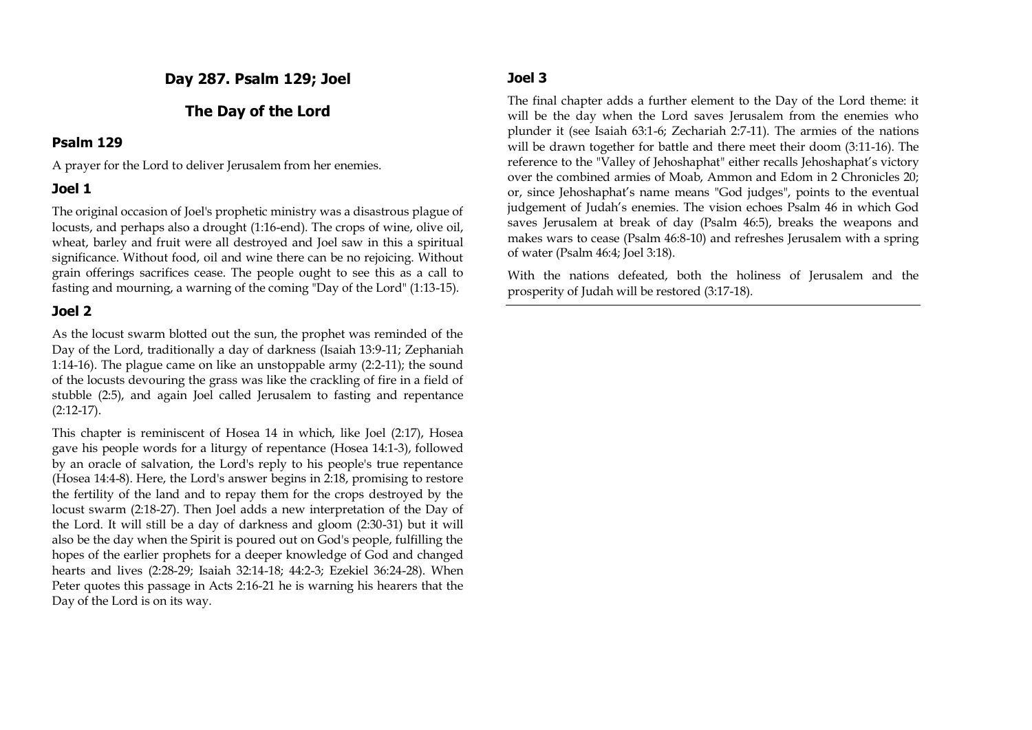**Day 287. Psalm 129; Joel**

#### **The Day of the Lord**

#### **Psalm 129**

A prayer for the Lord to deliver Jerusalem from her enemies.

#### **Joel 1**

The original occasion of Joel's prophetic ministry was a disastrous plague of locusts, and perhaps also a drought (1:16-end). The crops of wine, olive oil, wheat, barley and fruit were all destroyed and Joel saw in this a spiritual significance. Without food, oil and wine there can be no rejoicing. Without grain offerings sacrifices cease. The people ought to see this as a call to fasting and mourning, a warning of the coming "Day of the Lord" (1:13-15).

#### **Joel 2**

As the locust swarm blotted out the sun, the prophet was reminded of the Day of the Lord, traditionally a day of darkness (Isaiah 13:9-11; Zephaniah 1:14-16). The plague came on like an unstoppable army (2:2-11); the sound of the locusts devouring the grass was like the crackling of fire in a field of stubble (2:5), and again Joel called Jerusalem to fasting and repentance (2:12-17).

This chapter is reminiscent of Hosea 14 in which, like Joel (2:17), Hosea gave his people words for a liturgy of repentance (Hosea 14:1-3), followed by an oracle of salvation, the Lord's reply to his people's true repentance (Hosea 14:4-8). Here, the Lord's answer begins in 2:18, promising to restore the fertility of the land and to repay them for the crops destroyed by the locust swarm (2:18-27). Then Joel adds a new interpretation of the Day of the Lord. It will still be a day of darkness and gloom (2:30-31) but it will also be the day when the Spirit is poured out on God's people, fulfilling the hopes of the earlier prophets for a deeper knowledge of God and changed hearts and lives (2:28-29; Isaiah 32:14-18; 44:2-3; Ezekiel 36:24-28). When Peter quotes this passage in Acts 2:16-21 he is warning his hearers that the Day of the Lord is on its way.

## **Joel 3**

The final chapter adds a further element to the Day of the Lord theme: it will be the day when the Lord saves Jerusalem from the enemies who plunder it (see Isaiah 63:1-6; Zechariah 2:7-11). The armies of the nations will be drawn together for battle and there meet their doom (3:11-16). The reference to the "Valley of Jehoshaphat" either recalls Jehoshaphat's victory over the combined armies of Moab, Ammon and Edom in 2 Chronicles 20; or, since Jehoshaphat's name means "God judges", points to the eventual judgement of Judah's enemies. The vision echoes Psalm 46 in which God saves Jerusalem at break of day (Psalm 46:5), breaks the weapons and makes wars to cease (Psalm 46:8-10) and refreshes Jerusalem with a spring of water (Psalm 46:4; Joel 3:18).

With the nations defeated, both the holiness of Jerusalem and the prosperity of Judah will be restored (3:17-18).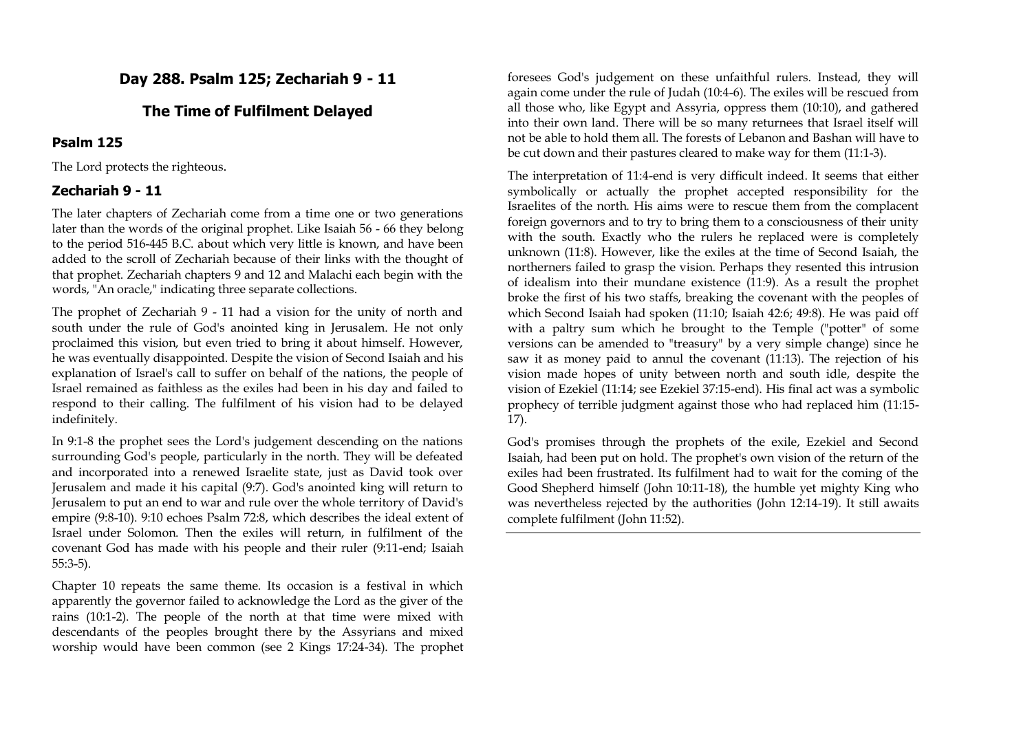## **Day 288. Psalm 125; Zechariah 9 - 11**

## **The Time of Fulfilment Delayed**

#### **Psalm 125**

The Lord protects the righteous.

#### **Zechariah 9 - 11**

The later chapters of Zechariah come from a time one or two generations later than the words of the original prophet. Like Isaiah 56 - 66 they belong to the period 516-445 B.C. about which very little is known, and have been added to the scroll of Zechariah because of their links with the thought of that prophet. Zechariah chapters 9 and 12 and Malachi each begin with the words, "An oracle," indicating three separate collections.

The prophet of Zechariah 9 - 11 had a vision for the unity of north and south under the rule of God's anointed king in Jerusalem. He not only proclaimed this vision, but even tried to bring it about himself. However, he was eventually disappointed. Despite the vision of Second Isaiah and his explanation of Israel's call to suffer on behalf of the nations, the people of Israel remained as faithless as the exiles had been in his day and failed to respond to their calling. The fulfilment of his vision had to be delayed indefinitely.

In 9:1-8 the prophet sees the Lord's judgement descending on the nations surrounding God's people, particularly in the north. They will be defeated and incorporated into a renewed Israelite state, just as David took over Jerusalem and made it his capital (9:7). God's anointed king will return to Jerusalem to put an end to war and rule over the whole territory of David's empire (9:8-10). 9:10 echoes Psalm 72:8, which describes the ideal extent of Israel under Solomon. Then the exiles will return, in fulfilment of the covenant God has made with his people and their ruler (9:11-end; Isaiah 55:3-5).

Chapter 10 repeats the same theme. Its occasion is a festival in which apparently the governor failed to acknowledge the Lord as the giver of the rains (10:1-2). The people of the north at that time were mixed with descendants of the peoples brought there by the Assyrians and mixed worship would have been common (see 2 Kings 17:24-34). The prophet

foresees God's judgement on these unfaithful rulers. Instead, they will again come under the rule of Judah (10:4-6). The exiles will be rescued from all those who, like Egypt and Assyria, oppress them (10:10), and gathered into their own land. There will be so many returnees that Israel itself will not be able to hold them all. The forests of Lebanon and Bashan will have to be cut down and their pastures cleared to make way for them (11:1-3).

The interpretation of 11:4-end is very difficult indeed. It seems that either symbolically or actually the prophet accepted responsibility for the Israelites of the north. His aims were to rescue them from the complacent foreign governors and to try to bring them to a consciousness of their unity with the south. Exactly who the rulers he replaced were is completely unknown (11:8). However, like the exiles at the time of Second Isaiah, the northerners failed to grasp the vision. Perhaps they resented this intrusion of idealism into their mundane existence (11:9). As a result the prophet broke the first of his two staffs, breaking the covenant with the peoples of which Second Isaiah had spoken (11:10; Isaiah 42:6; 49:8). He was paid off with a paltry sum which he brought to the Temple ("potter" of some versions can be amended to "treasury" by a very simple change) since he saw it as money paid to annul the covenant (11:13). The rejection of his vision made hopes of unity between north and south idle, despite the vision of Ezekiel (11:14; see Ezekiel 37:15-end). His final act was a symbolic prophecy of terrible judgment against those who had replaced him (11:15- 17).

God's promises through the prophets of the exile, Ezekiel and Second Isaiah, had been put on hold. The prophet's own vision of the return of the exiles had been frustrated. Its fulfilment had to wait for the coming of the Good Shepherd himself (John 10:11-18), the humble yet mighty King who was nevertheless rejected by the authorities (John 12:14-19). It still awaits complete fulfilment (John 11:52).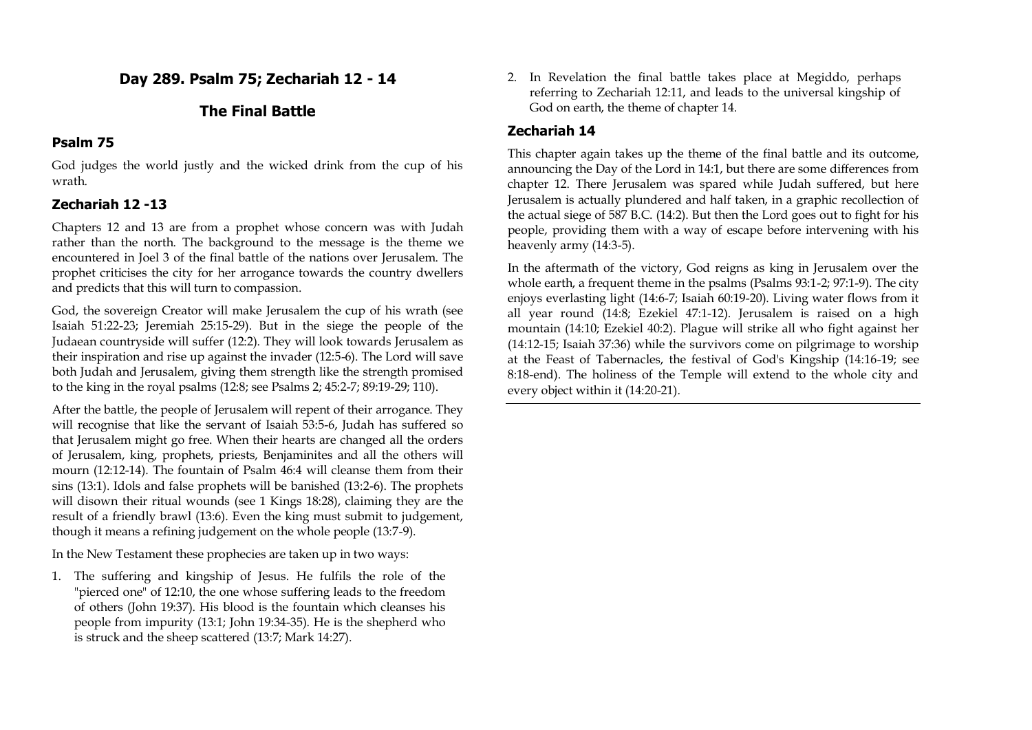## **Day 289. Psalm 75; Zechariah 12 - 14**

## **The Final Battle**

## **Psalm 75**

God judges the world justly and the wicked drink from the cup of his wrath.

## **Zechariah 12 -13**

Chapters 12 and 13 are from a prophet whose concern was with Judah rather than the north. The background to the message is the theme we encountered in Joel 3 of the final battle of the nations over Jerusalem. The prophet criticises the city for her arrogance towards the country dwellers and predicts that this will turn to compassion.

God, the sovereign Creator will make Jerusalem the cup of his wrath (see Isaiah 51:22-23; Jeremiah 25:15-29). But in the siege the people of the Judaean countryside will suffer (12:2). They will look towards Jerusalem as their inspiration and rise up against the invader (12:5-6). The Lord will save both Judah and Jerusalem, giving them strength like the strength promised to the king in the royal psalms (12:8; see Psalms 2; 45:2-7; 89:19-29; 110).

After the battle, the people of Jerusalem will repent of their arrogance. They will recognise that like the servant of Isaiah 53:5-6, Judah has suffered so that Jerusalem might go free. When their hearts are changed all the orders of Jerusalem, king, prophets, priests, Benjaminites and all the others will mourn (12:12-14). The fountain of Psalm 46:4 will cleanse them from their sins (13:1). Idols and false prophets will be banished (13:2-6). The prophets will disown their ritual wounds (see 1 Kings 18:28), claiming they are the result of a friendly brawl (13:6). Even the king must submit to judgement, though it means a refining judgement on the whole people (13:7-9).

In the New Testament these prophecies are taken up in two ways:

1. The suffering and kingship of Jesus. He fulfils the role of the "pierced one" of 12:10, the one whose suffering leads to the freedom of others (John 19:37). His blood is the fountain which cleanses his people from impurity (13:1; John 19:34-35). He is the shepherd who is struck and the sheep scattered (13:7; Mark 14:27).

2. In Revelation the final battle takes place at Megiddo, perhaps referring to Zechariah 12:11, and leads to the universal kingship of God on earth, the theme of chapter 14.

## **Zechariah 14**

This chapter again takes up the theme of the final battle and its outcome, announcing the Day of the Lord in 14:1, but there are some differences from chapter 12. There Jerusalem was spared while Judah suffered, but here Jerusalem is actually plundered and half taken, in a graphic recollection of the actual siege of 587 B.C. (14:2). But then the Lord goes out to fight for his people, providing them with a way of escape before intervening with his heavenly army (14:3-5).

In the aftermath of the victory, God reigns as king in Jerusalem over the whole earth, a frequent theme in the psalms (Psalms 93:1-2; 97:1-9). The city enjoys everlasting light (14:6-7; Isaiah 60:19-20). Living water flows from it all year round (14:8; Ezekiel 47:1-12). Jerusalem is raised on a high mountain (14:10; Ezekiel 40:2). Plague will strike all who fight against her (14:12-15; Isaiah 37:36) while the survivors come on pilgrimage to worship at the Feast of Tabernacles, the festival of God's Kingship (14:16-19; see 8:18-end). The holiness of the Temple will extend to the whole city and every object within it (14:20-21).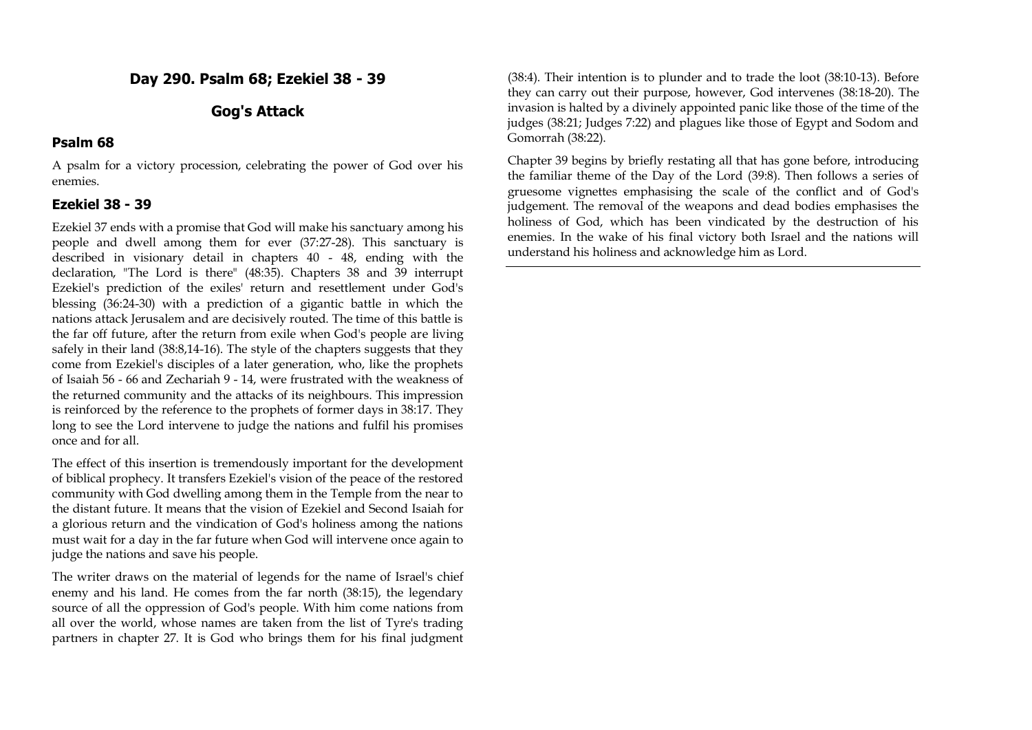## **Day 290. Psalm 68; Ezekiel 38 - 39**

## **Gog's Attack**

#### **Psalm 68**

A psalm for a victory procession, celebrating the power of God over his enemies.

## **Ezekiel 38 - 39**

Ezekiel 37 ends with a promise that God will make his sanctuary among his people and dwell among them for ever (37:27-28). This sanctuary is described in visionary detail in chapters 40 - 48, ending with the declaration, "The Lord is there" (48:35). Chapters 38 and 39 interrupt Ezekiel's prediction of the exiles' return and resettlement under God's blessing (36:24-30) with a prediction of a gigantic battle in which the nations attack Jerusalem and are decisively routed. The time of this battle is the far off future, after the return from exile when God's people are living safely in their land (38:8,14-16). The style of the chapters suggests that they come from Ezekiel's disciples of a later generation, who, like the prophets of Isaiah 56 - 66 and Zechariah 9 - 14, were frustrated with the weakness of the returned community and the attacks of its neighbours. This impression is reinforced by the reference to the prophets of former days in 38:17. They long to see the Lord intervene to judge the nations and fulfil his promises once and for all.

The effect of this insertion is tremendously important for the development of biblical prophecy. It transfers Ezekiel's vision of the peace of the restored community with God dwelling among them in the Temple from the near to the distant future. It means that the vision of Ezekiel and Second Isaiah for a glorious return and the vindication of God's holiness among the nations must wait for a day in the far future when God will intervene once again to judge the nations and save his people.

The writer draws on the material of legends for the name of Israel's chief enemy and his land. He comes from the far north (38:15), the legendary source of all the oppression of God's people. With him come nations from all over the world, whose names are taken from the list of Tyre's trading partners in chapter 27. It is God who brings them for his final judgment

(38:4). Their intention is to plunder and to trade the loot (38:10-13). Before they can carry out their purpose, however, God intervenes (38:18-20). The invasion is halted by a divinely appointed panic like those of the time of the judges (38:21; Judges 7:22) and plagues like those of Egypt and Sodom and Gomorrah (38:22).

Chapter 39 begins by briefly restating all that has gone before, introducing the familiar theme of the Day of the Lord (39:8). Then follows a series of gruesome vignettes emphasising the scale of the conflict and of God's judgement. The removal of the weapons and dead bodies emphasises the holiness of God, which has been vindicated by the destruction of his enemies. In the wake of his final victory both Israel and the nations will understand his holiness and acknowledge him as Lord.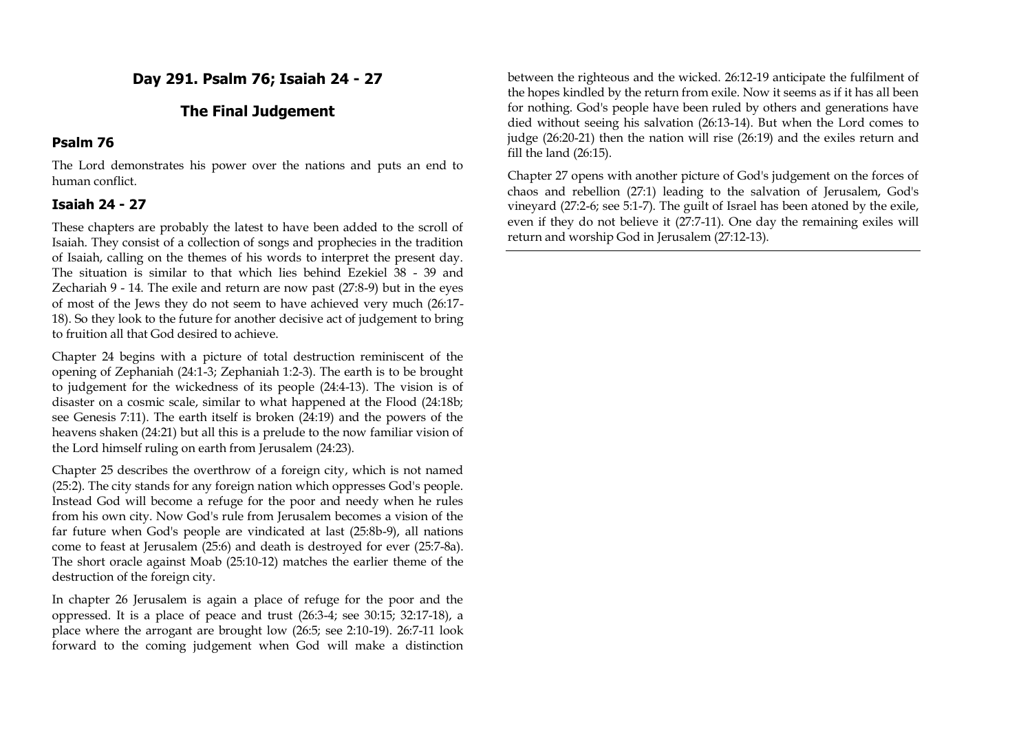## **Day 291. Psalm 76; Isaiah 24 - 27**

## **The Final Judgement**

#### **Psalm 76**

The Lord demonstrates his power over the nations and puts an end to human conflict.

### **Isaiah 24 - 27**

These chapters are probably the latest to have been added to the scroll of Isaiah. They consist of a collection of songs and prophecies in the tradition of Isaiah, calling on the themes of his words to interpret the present day. The situation is similar to that which lies behind Ezekiel 38 - 39 and Zechariah 9 - 14. The exile and return are now past (27:8-9) but in the eyes of most of the Jews they do not seem to have achieved very much (26:17- 18). So they look to the future for another decisive act of judgement to bring to fruition all that God desired to achieve.

Chapter 24 begins with a picture of total destruction reminiscent of the opening of Zephaniah (24:1-3; Zephaniah 1:2-3). The earth is to be brought to judgement for the wickedness of its people (24:4-13). The vision is of disaster on a cosmic scale, similar to what happened at the Flood (24:18b; see Genesis 7:11). The earth itself is broken (24:19) and the powers of the heavens shaken (24:21) but all this is a prelude to the now familiar vision of the Lord himself ruling on earth from Jerusalem (24:23).

Chapter 25 describes the overthrow of a foreign city, which is not named (25:2). The city stands for any foreign nation which oppresses God's people. Instead God will become a refuge for the poor and needy when he rules from his own city. Now God's rule from Jerusalem becomes a vision of the far future when God's people are vindicated at last (25:8b-9), all nations come to feast at Jerusalem (25:6) and death is destroyed for ever (25:7-8a). The short oracle against Moab (25:10-12) matches the earlier theme of the destruction of the foreign city.

In chapter 26 Jerusalem is again a place of refuge for the poor and the oppressed. It is a place of peace and trust (26:3-4; see 30:15; 32:17-18), a place where the arrogant are brought low (26:5; see 2:10-19). 26:7-11 look forward to the coming judgement when God will make a distinction

between the righteous and the wicked. 26:12-19 anticipate the fulfilment of the hopes kindled by the return from exile. Now it seems as if it has all been for nothing. God's people have been ruled by others and generations have died without seeing his salvation (26:13-14). But when the Lord comes to judge (26:20-21) then the nation will rise (26:19) and the exiles return and fill the land (26:15).

Chapter 27 opens with another picture of God's judgement on the forces of chaos and rebellion (27:1) leading to the salvation of Jerusalem, God's vineyard (27:2-6; see 5:1-7). The guilt of Israel has been atoned by the exile, even if they do not believe it (27:7-11). One day the remaining exiles will return and worship God in Jerusalem (27:12-13).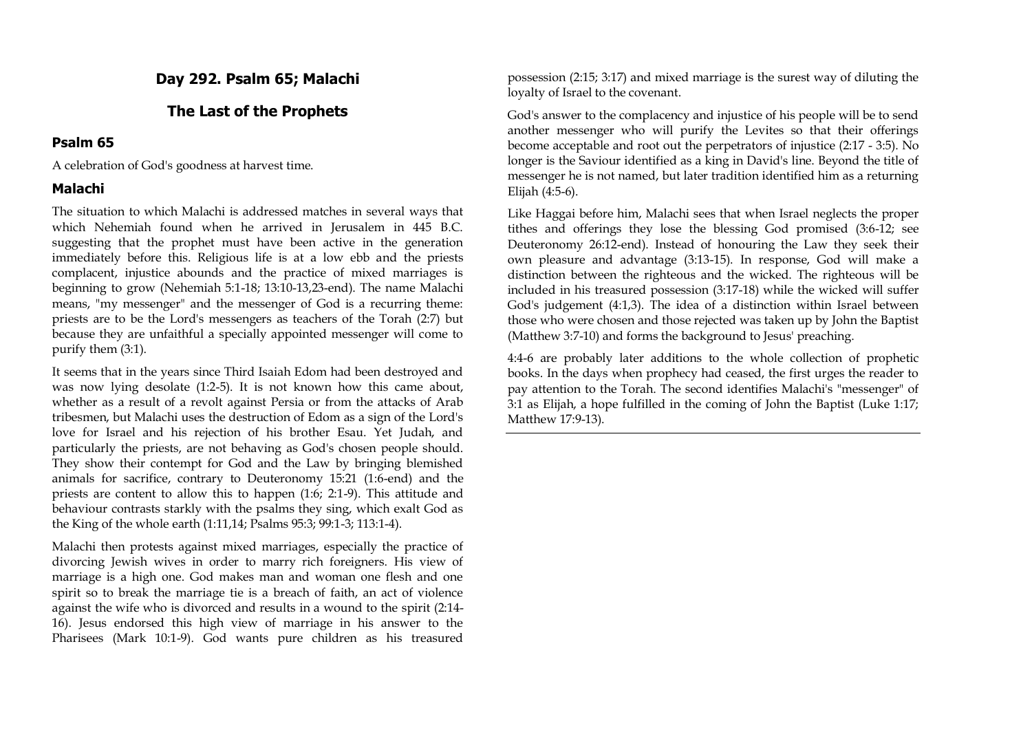### **Day 292. Psalm 65; Malachi**

#### **The Last of the Prophets**

### **Psalm 65**

A celebration of God's goodness at harvest time.

#### **Malachi**

The situation to which Malachi is addressed matches in several ways that which Nehemiah found when he arrived in Jerusalem in 445 B.C. suggesting that the prophet must have been active in the generation immediately before this. Religious life is at a low ebb and the priests complacent, injustice abounds and the practice of mixed marriages is beginning to grow (Nehemiah 5:1-18; 13:10-13,23-end). The name Malachi means, "my messenger" and the messenger of God is a recurring theme: priests are to be the Lord's messengers as teachers of the Torah (2:7) but because they are unfaithful a specially appointed messenger will come to purify them (3:1).

It seems that in the years since Third Isaiah Edom had been destroyed and was now lying desolate (1:2-5). It is not known how this came about, whether as a result of a revolt against Persia or from the attacks of Arab tribesmen, but Malachi uses the destruction of Edom as a sign of the Lord's love for Israel and his rejection of his brother Esau. Yet Judah, and particularly the priests, are not behaving as God's chosen people should. They show their contempt for God and the Law by bringing blemished animals for sacrifice, contrary to Deuteronomy 15:21 (1:6-end) and the priests are content to allow this to happen (1:6; 2:1-9). This attitude and behaviour contrasts starkly with the psalms they sing, which exalt God as the King of the whole earth (1:11,14; Psalms 95:3; 99:1-3; 113:1-4).

Malachi then protests against mixed marriages, especially the practice of divorcing Jewish wives in order to marry rich foreigners. His view of marriage is a high one. God makes man and woman one flesh and one spirit so to break the marriage tie is a breach of faith, an act of violence against the wife who is divorced and results in a wound to the spirit (2:14- 16). Jesus endorsed this high view of marriage in his answer to the Pharisees (Mark 10:1-9). God wants pure children as his treasured

possession (2:15; 3:17) and mixed marriage is the surest way of diluting the loyalty of Israel to the covenant.

God's answer to the complacency and injustice of his people will be to send another messenger who will purify the Levites so that their offerings become acceptable and root out the perpetrators of injustice (2:17 - 3:5). No longer is the Saviour identified as a king in David's line. Beyond the title of messenger he is not named, but later tradition identified him as a returning Elijah (4:5-6).

Like Haggai before him, Malachi sees that when Israel neglects the proper tithes and offerings they lose the blessing God promised (3:6-12; see Deuteronomy 26:12-end). Instead of honouring the Law they seek their own pleasure and advantage (3:13-15). In response, God will make a distinction between the righteous and the wicked. The righteous will be included in his treasured possession (3:17-18) while the wicked will suffer God's judgement (4:1,3). The idea of a distinction within Israel between those who were chosen and those rejected was taken up by John the Baptist (Matthew 3:7-10) and forms the background to Jesus' preaching.

4:4-6 are probably later additions to the whole collection of prophetic books. In the days when prophecy had ceased, the first urges the reader to pay attention to the Torah. The second identifies Malachi's "messenger" of 3:1 as Elijah, a hope fulfilled in the coming of John the Baptist (Luke 1:17; Matthew 17:9-13).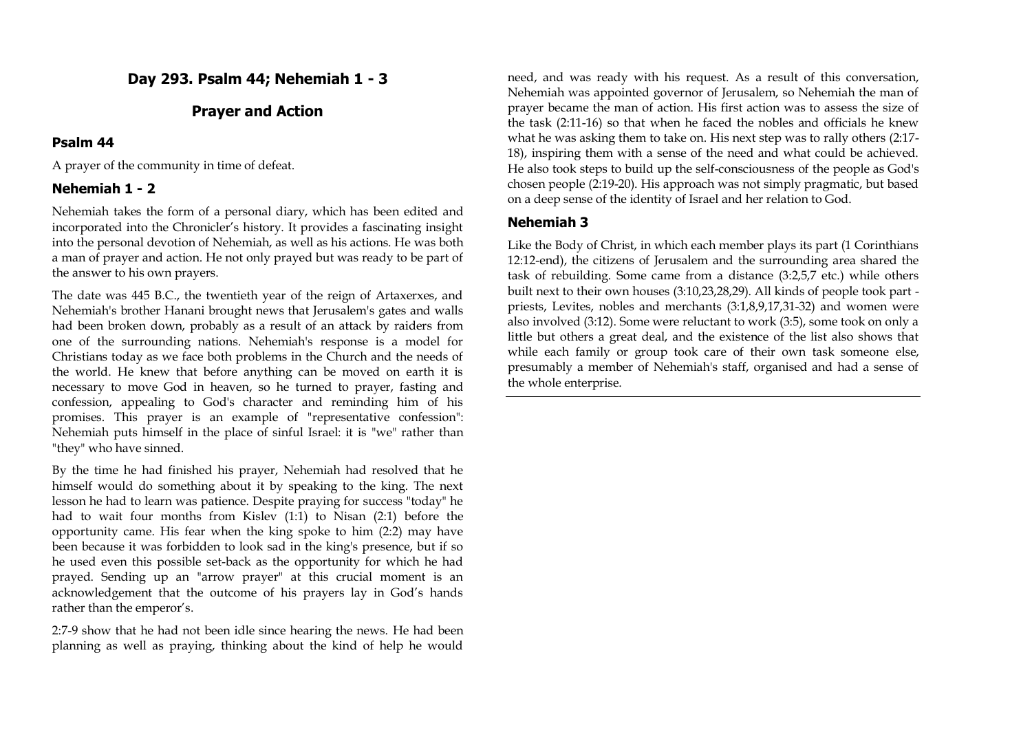# **Day 293. Psalm 44; Nehemiah 1 - 3**

## **Prayer and Action**

## **Psalm 44**

A prayer of the community in time of defeat.

## **Nehemiah 1 - 2**

Nehemiah takes the form of a personal diary, which has been edited and incorporated into the Chronicler's history. It provides a fascinating insight into the personal devotion of Nehemiah, as well as his actions. He was both a man of prayer and action. He not only prayed but was ready to be part of the answer to his own prayers.

The date was 445 B.C., the twentieth year of the reign of Artaxerxes, and Nehemiah's brother Hanani brought news that Jerusalem's gates and walls had been broken down, probably as a result of an attack by raiders from one of the surrounding nations. Nehemiah's response is a model for Christians today as we face both problems in the Church and the needs of the world. He knew that before anything can be moved on earth it is necessary to move God in heaven, so he turned to prayer, fasting and confession, appealing to God's character and reminding him of his promises. This prayer is an example of "representative confession": Nehemiah puts himself in the place of sinful Israel: it is "we" rather than "they" who have sinned.

By the time he had finished his prayer, Nehemiah had resolved that he himself would do something about it by speaking to the king. The next lesson he had to learn was patience. Despite praying for success "today" he had to wait four months from Kislev (1:1) to Nisan (2:1) before the opportunity came. His fear when the king spoke to him (2:2) may have been because it was forbidden to look sad in the king's presence, but if so he used even this possible set-back as the opportunity for which he had prayed. Sending up an "arrow prayer" at this crucial moment is an acknowledgement that the outcome of his prayers lay in God's hands rather than the emperor's.

2:7-9 show that he had not been idle since hearing the news. He had been planning as well as praying, thinking about the kind of help he would need, and was ready with his request. As a result of this conversation, Nehemiah was appointed governor of Jerusalem, so Nehemiah the man of prayer became the man of action. His first action was to assess the size of the task (2:11-16) so that when he faced the nobles and officials he knew what he was asking them to take on. His next step was to rally others (2:17- 18), inspiring them with a sense of the need and what could be achieved. He also took steps to build up the self-consciousness of the people as God's chosen people (2:19-20). His approach was not simply pragmatic, but based on a deep sense of the identity of Israel and her relation to God.

## **Nehemiah 3**

Like the Body of Christ, in which each member plays its part (1 Corinthians 12:12-end), the citizens of Jerusalem and the surrounding area shared the task of rebuilding. Some came from a distance (3:2,5,7 etc.) while others built next to their own houses (3:10,23,28,29). All kinds of people took part priests, Levites, nobles and merchants (3:1,8,9,17,31-32) and women were also involved (3:12). Some were reluctant to work (3:5), some took on only a little but others a great deal, and the existence of the list also shows that while each family or group took care of their own task someone else, presumably a member of Nehemiah's staff, organised and had a sense of the whole enterprise.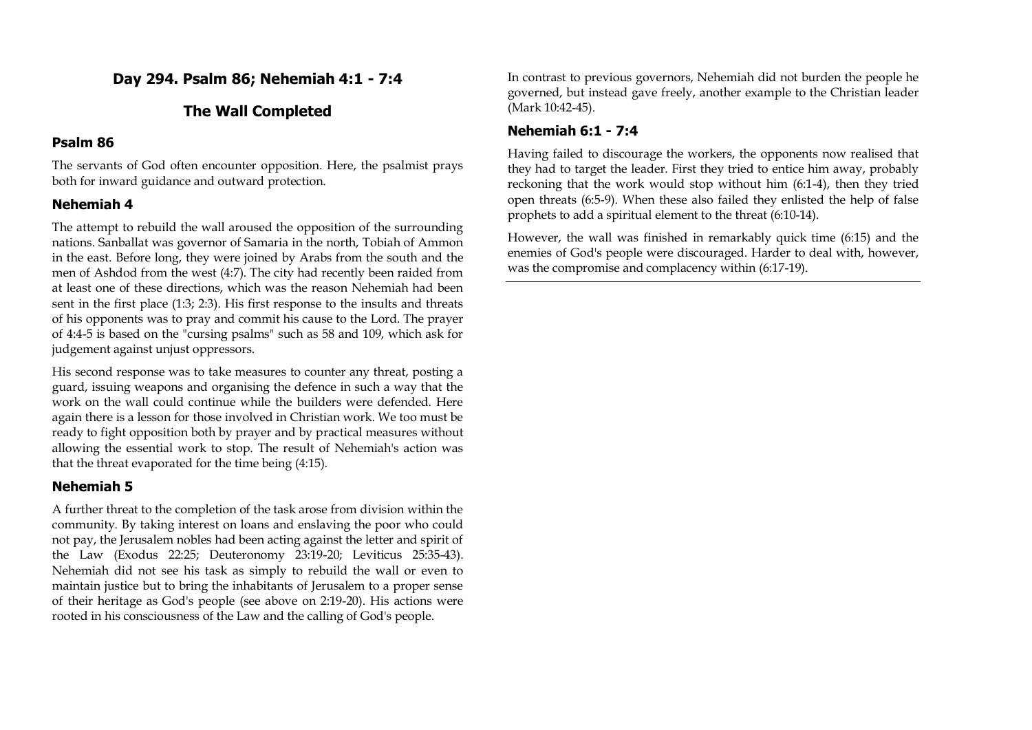## **Day 294. Psalm 86; Nehemiah 4:1 - 7:4**

## **The Wall Completed**

### **Psalm 86**

The servants of God often encounter opposition. Here, the psalmist prays both for inward guidance and outward protection.

## **Nehemiah 4**

The attempt to rebuild the wall aroused the opposition of the surrounding nations. Sanballat was governor of Samaria in the north, Tobiah of Ammon in the east. Before long, they were joined by Arabs from the south and the men of Ashdod from the west (4:7). The city had recently been raided from at least one of these directions, which was the reason Nehemiah had been sent in the first place (1:3; 2:3). His first response to the insults and threats of his opponents was to pray and commit his cause to the Lord. The prayer of 4:4-5 is based on the "cursing psalms" such as 58 and 109, which ask for judgement against unjust oppressors.

His second response was to take measures to counter any threat, posting a guard, issuing weapons and organising the defence in such a way that the work on the wall could continue while the builders were defended. Here again there is a lesson for those involved in Christian work. We too must be ready to fight opposition both by prayer and by practical measures without allowing the essential work to stop. The result of Nehemiah's action was that the threat evaporated for the time being (4:15).

### **Nehemiah 5**

A further threat to the completion of the task arose from division within the community. By taking interest on loans and enslaving the poor who could not pay, the Jerusalem nobles had been acting against the letter and spirit of the Law (Exodus 22:25; Deuteronomy 23:19-20; Leviticus 25:35-43). Nehemiah did not see his task as simply to rebuild the wall or even to maintain justice but to bring the inhabitants of Jerusalem to a proper sense of their heritage as God's people (see above on 2:19-20). His actions were rooted in his consciousness of the Law and the calling of God's people.

In contrast to previous governors, Nehemiah did not burden the people he governed, but instead gave freely, another example to the Christian leader (Mark 10:42-45).

## **Nehemiah 6:1 - 7:4**

Having failed to discourage the workers, the opponents now realised that they had to target the leader. First they tried to entice him away, probably reckoning that the work would stop without him (6:1-4), then they tried open threats (6:5-9). When these also failed they enlisted the help of false prophets to add a spiritual element to the threat (6:10-14).

However, the wall was finished in remarkably quick time (6:15) and the enemies of God's people were discouraged. Harder to deal with, however, was the compromise and complacency within (6:17-19).